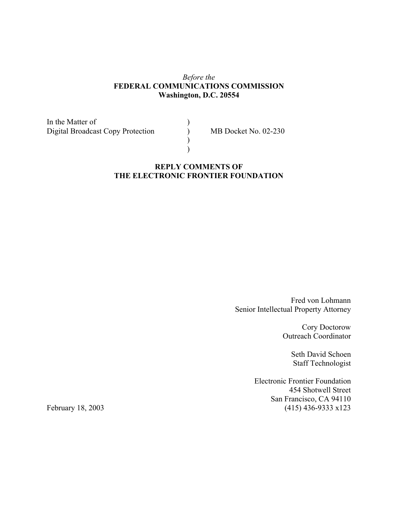# *Before the* **FEDERAL COMMUNICATIONS COMMISSION Washington, D.C. 20554**

In the Matter of (1)<br>Digital Broadcast Copy Protection (1) Digital Broadcast Copy Protection (b) MB Docket No. 02-230

# **REPLY COMMENTS OF THE ELECTRONIC FRONTIER FOUNDATION**

 $\overline{)}$ )

> Fred von Lohmann Senior Intellectual Property Attorney

> > Cory Doctorow Outreach Coordinator

> > > Seth David Schoen Staff Technologist

Electronic Frontier Foundation 454 Shotwell Street San Francisco, CA 94110 February 18, 2003 (415) 436-9333 x123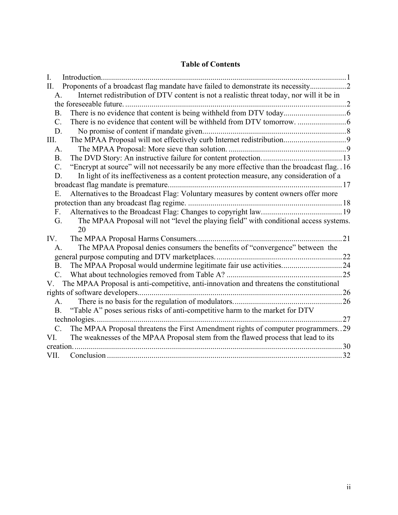# **Table of Contents**

| I.              | Introduction                                                                                |    |  |
|-----------------|---------------------------------------------------------------------------------------------|----|--|
| II.             | Proponents of a broadcast flag mandate have failed to demonstrate its necessity             |    |  |
| A.              | Internet redistribution of DTV content is not a realistic threat today, nor will it be in   |    |  |
|                 | the foreseeable future.                                                                     |    |  |
| <b>B.</b>       |                                                                                             |    |  |
| $C_{\cdot}$     |                                                                                             |    |  |
| D.              |                                                                                             |    |  |
| Ш.              |                                                                                             |    |  |
| A.              |                                                                                             |    |  |
| <b>B.</b>       |                                                                                             |    |  |
| $\mathcal{C}$ . | "Encrypt at source" will not necessarily be any more effective than the broadcast flag. .16 |    |  |
| D.              | In light of its ineffectiveness as a content protection measure, any consideration of a     |    |  |
|                 |                                                                                             |    |  |
| E.              | Alternatives to the Broadcast Flag: Voluntary measures by content owners offer more         |    |  |
|                 |                                                                                             |    |  |
| $F_{\cdot}$     |                                                                                             |    |  |
| G.              | The MPAA Proposal will not "level the playing field" with conditional access systems.       |    |  |
|                 | 20                                                                                          |    |  |
| IV.             |                                                                                             | 21 |  |
| A.              | The MPAA Proposal denies consumers the benefits of "convergence" between the                |    |  |
|                 |                                                                                             |    |  |
| <b>B.</b>       | The MPAA Proposal would undermine legitimate fair use activities24                          |    |  |
| $\mathcal{C}$ . |                                                                                             |    |  |
| V.              | The MPAA Proposal is anti-competitive, anti-innovation and threatens the constitutional     |    |  |
|                 |                                                                                             |    |  |
|                 | A.                                                                                          |    |  |
| <b>B.</b>       | "Table A" poses serious risks of anti-competitive harm to the market for DTV                |    |  |
|                 |                                                                                             |    |  |
| $\mathcal{C}$ . | The MPAA Proposal threatens the First Amendment rights of computer programmers29            |    |  |
| VI.             | The weaknesses of the MPAA Proposal stem from the flawed process that lead to its           |    |  |
|                 | .30<br>creation                                                                             |    |  |
| VII.            |                                                                                             |    |  |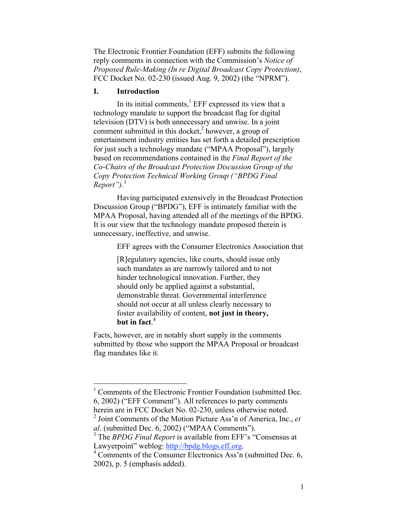The Electronic Frontier Foundation (EFF) submits the following reply comments in connection with the Commission's *Notice of Proposed Rule-Making (In re Digital Broadcast Copy Protection)*, FCC Docket No. 02-230 (issued Aug. 9, 2002) (the "NPRM").

#### **I. Introduction**

In its initial comments, $<sup>1</sup>$  EFF expressed its view that a</sup> technology mandate to support the broadcast flag for digital television (DTV) is both unnecessary and unwise. In a joint comment submitted in this docket, $2$  however, a group of entertainment industry entities has set forth a detailed prescription for just such a technology mandate ("MPAA Proposal"), largely based on recommendations contained in the *Final Report of the Co-Chairs of the Broadcast Protection Discussion Group of the Copy Protection Technical Working Group ("BPDG Final Report")*. 3

Having participated extensively in the Broadcast Protection Discussion Group ("BPDG"), EFF is intimately familiar with the MPAA Proposal, having attended all of the meetings of the BPDG. It is our view that the technology mandate proposed therein is unnecessary, ineffective, and unwise.

EFF agrees with the Consumer Electronics Association that

[R]egulatory agencies, like courts, should issue only such mandates as are narrowly tailored and to not hinder technological innovation. Further, they should only be applied against a substantial, demonstrable threat. Governmental interference should not occur at all unless clearly necessary to foster availability of content, **not just in theory, but in fact**. 4

Facts, however, are in notably short supply in the comments submitted by those who support the MPAA Proposal or broadcast flag mandates like it.

<sup>&</sup>lt;sup>1</sup> Comments of the Electronic Frontier Foundation (submitted Dec. 6, 2002) ("EFF Comment"). All references to party comments herein are in FCC Docket No. 02-230, unless otherwise noted.

<sup>2</sup> Joint Comments of the Motion Picture Ass'n of America, Inc., *et al*. (submitted Dec. 6, 2002) ("MPAA Comments").

<sup>&</sup>lt;sup>3</sup> The *BPDG Final Report* is available from EFF's "Consensus at Lawyerpoint" weblog: http://bpdg.blogs.eff.org.

 $4$  Comments of the Consumer Electronics Ass'n (submitted Dec. 6, 2002), p. 5 (emphasis added).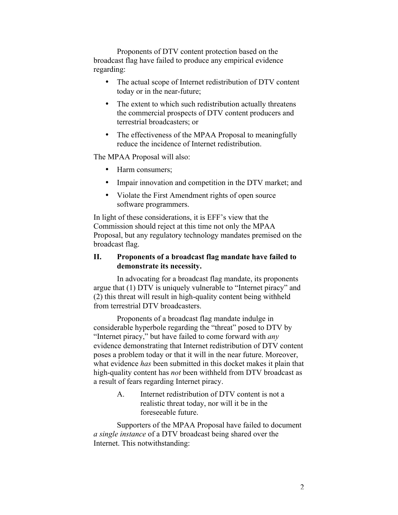Proponents of DTV content protection based on the broadcast flag have failed to produce any empirical evidence regarding:

> The actual scope of Internet redistribution of DTV content today or in the near-future;

The extent to which such redistribution actually threatens the commercial prospects of DTV content producers and terrestrial broadcasters; or

The effectiveness of the MPAA Proposal to meaningfully reduce the incidence of Internet redistribution.

The MPAA Proposal will also:

Harm consumers;

Impair innovation and competition in the DTV market; and

Violate the First Amendment rights of open source software programmers.

In light of these considerations, it is EFF's view that the Commission should reject at this time not only the MPAA Proposal, but any regulatory technology mandates premised on the broadcast flag.

# **II. Proponents of a broadcast flag mandate have failed to demonstrate its necessity.**

In advocating for a broadcast flag mandate, its proponents argue that (1) DTV is uniquely vulnerable to "Internet piracy" and (2) this threat will result in high-quality content being withheld from terrestrial DTV broadcasters.

Proponents of a broadcast flag mandate indulge in considerable hyperbole regarding the "threat" posed to DTV by "Internet piracy," but have failed to come forward with *any* evidence demonstrating that Internet redistribution of DTV content poses a problem today or that it will in the near future. Moreover, what evidence *has* been submitted in this docket makes it plain that high-quality content has *not* been withheld from DTV broadcast as a result of fears regarding Internet piracy.

> A. Internet redistribution of DTV content is not a realistic threat today, nor will it be in the foreseeable future.

Supporters of the MPAA Proposal have failed to document *a single instance* of a DTV broadcast being shared over the Internet. This notwithstanding: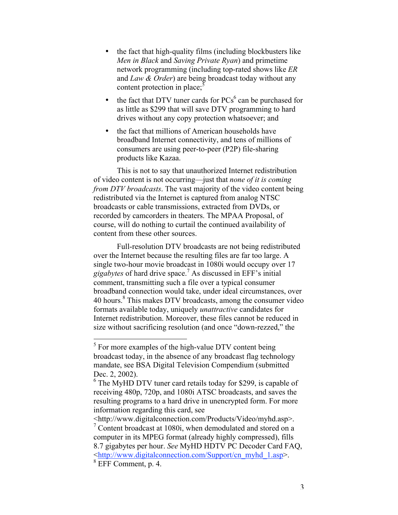the fact that high-quality films (including blockbusters like *Men in Black* and *Saving Private Ryan*) and primetime network programming (including top-rated shows like *ER* and *Law & Order*) are being broadcast today without any content protection in place; $5$ 

the fact that DTV tuner cards for  $PCs^6$  can be purchased for as little as \$299 that will save DTV programming to hard drives without any copy protection whatsoever; and

the fact that millions of American households have broadband Internet connectivity, and tens of millions of consumers are using peer-to-peer (P2P) file-sharing products like Kazaa.

This is not to say that unauthorized Internet redistribution of video content is not occurring—just that *none of it is coming from DTV broadcasts*. The vast majority of the video content being redistributed via the Internet is captured from analog NTSC broadcasts or cable transmissions, extracted from DVDs, or recorded by camcorders in theaters. The MPAA Proposal, of course, will do nothing to curtail the continued availability of content from these other sources.

Full-resolution DTV broadcasts are not being redistributed over the Internet because the resulting files are far too large. A single two-hour movie broadcast in 1080i would occupy over 17 *gigabytes* of hard drive space.<sup>7</sup> As discussed in EFF's initial comment, transmitting such a file over a typical consumer broadband connection would take, under ideal circumstances, over 40 hours.<sup>8</sup> This makes DTV broadcasts, among the consumer video formats available today, uniquely *unattractive* candidates for Internet redistribution. Moreover, these files cannot be reduced in size without sacrificing resolution (and once "down-rezzed," the

<http://www.digitalconnection.com/Products/Video/myhd.asp>.

<sup>&</sup>lt;sup>5</sup> For more examples of the high-value DTV content being broadcast today, in the absence of any broadcast flag technology mandate, see BSA Digital Television Compendium (submitted Dec. 2, 2002).

<sup>&</sup>lt;sup>6</sup> The MyHD DTV tuner card retails today for \$299, is capable of receiving 480p, 720p, and 1080i ATSC broadcasts, and saves the resulting programs to a hard drive in unencrypted form. For more information regarding this card, see

<sup>&</sup>lt;sup>7</sup> Content broadcast at 1080i, when demodulated and stored on a computer in its MPEG format (already highly compressed), fills 8.7 gigabytes per hour. *See* MyHD HDTV PC Decoder Card FAQ, <http://www.digitalconnection.com/Support/cn\_myhd\_1.asp>.

<sup>8</sup> EFF Comment, p. 4.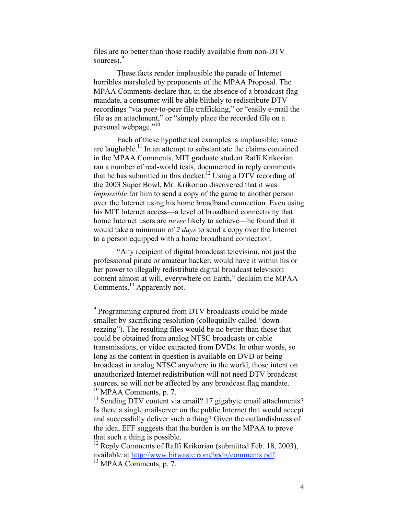files are no better than those readily available from non-DTV sources).<sup>9</sup>

These facts render implausible the parade of Internet horribles marshaled by proponents of the MPAA Proposal. The MPAA Comments declare that, in the absence of a broadcast flag mandate, a consumer will be able blithely to redistribute DTV recordings "via peer-to-peer file trafficking," or "easily e-mail the file as an attachment," or "simply place the recorded file on a personal webpage."10

Each of these hypothetical examples is implausible; some are laughable.<sup>11</sup> In an attempt to substantiate the claims contained in the MPAA Comments, MIT graduate student Raffi Krikorian ran a number of real-world tests, documented in reply comments that he has submitted in this docket.<sup>12</sup> Using a DTV recording of the 2003 Super Bowl, Mr. Krikorian discovered that it was *impossible* for him to send a copy of the game to another person over the Internet using his home broadband connection. Even using his MIT Internet access—a level of broadband connectivity that home Internet users are *never* likely to achieve—he found that it would take a minimum of *2 days* to send a copy over the Internet to a person equipped with a home broadband connection.

"Any recipient of digital broadcast television, not just the professional pirate or amateur hacker, would have it within his or her power to illegally redistribute digital broadcast television content almost at will, everywhere on Earth," declaim the MPAA Comments.<sup>13</sup> Apparently not.

<sup>&</sup>lt;sup>9</sup> Programming captured from DTV broadcasts could be made smaller by sacrificing resolution (colloquially called "downrezzing"). The resulting files would be no better than those that could be obtained from analog NTSC broadcasts or cable transmissions, or video extracted from DVDs. In other words, so long as the content in question is available on DVD or being broadcast in analog NTSC anywhere in the world, those intent on unauthorized Internet redistribution will not need DTV broadcast sources, so will not be affected by any broadcast flag mandate. <sup>10</sup> MPAA Comments, p. 7.

<sup>&</sup>lt;sup>11</sup> Sending DTV content via email? 17 gigabyte email attachments? Is there a single mailserver on the public Internet that would accept and successfully deliver such a thing? Given the outlandishness of the idea, EFF suggests that the burden is on the MPAA to prove that such a thing is possible.

<sup>&</sup>lt;sup>12</sup> Reply Comments of Raffi Krikorian (submitted Feb. 18, 2003), available at http://www.bitwaste.com/bpdg/comments.pdf.

 $13$  MPAA Comments, p. 7.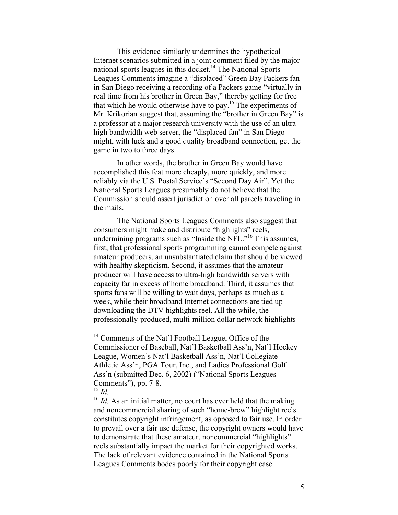This evidence similarly undermines the hypothetical Internet scenarios submitted in a joint comment filed by the major national sports leagues in this docket.<sup>14</sup> The National Sports Leagues Comments imagine a "displaced" Green Bay Packers fan in San Diego receiving a recording of a Packers game "virtually in real time from his brother in Green Bay," thereby getting for free that which he would otherwise have to pay.<sup>15</sup> The experiments of Mr. Krikorian suggest that, assuming the "brother in Green Bay" is a professor at a major research university with the use of an ultrahigh bandwidth web server, the "displaced fan" in San Diego might, with luck and a good quality broadband connection, get the game in two to three days.

In other words, the brother in Green Bay would have accomplished this feat more cheaply, more quickly, and more reliably via the U.S. Postal Service's "Second Day Air". Yet the National Sports Leagues presumably do not believe that the Commission should assert jurisdiction over all parcels traveling in the mails.

The National Sports Leagues Comments also suggest that consumers might make and distribute "highlights" reels, undermining programs such as "Inside the NFL."<sup>16</sup> This assumes, first, that professional sports programming cannot compete against amateur producers, an unsubstantiated claim that should be viewed with healthy skepticism. Second, it assumes that the amateur producer will have access to ultra-high bandwidth servers with capacity far in excess of home broadband. Third, it assumes that sports fans will be willing to wait days, perhaps as much as a week, while their broadband Internet connections are tied up downloading the DTV highlights reel. All the while, the professionally-produced, multi-million dollar network highlights

<sup>&</sup>lt;sup>14</sup> Comments of the Nat'l Football League, Office of the Commissioner of Baseball, Nat'l Basketball Ass'n, Nat'l Hockey League, Women's Nat'l Basketball Ass'n, Nat'l Collegiate Athletic Ass'n, PGA Tour, Inc., and Ladies Professional Golf Ass'n (submitted Dec. 6, 2002) ("National Sports Leagues Comments"), pp. 7-8.

<sup>15</sup> *Id.*

<sup>&</sup>lt;sup>16</sup> *Id.* As an initial matter, no court has ever held that the making and noncommercial sharing of such "home-brew" highlight reels constitutes copyright infringement, as opposed to fair use. In order to prevail over a fair use defense, the copyright owners would have to demonstrate that these amateur, noncommercial "highlights" reels substantially impact the market for their copyrighted works. The lack of relevant evidence contained in the National Sports Leagues Comments bodes poorly for their copyright case.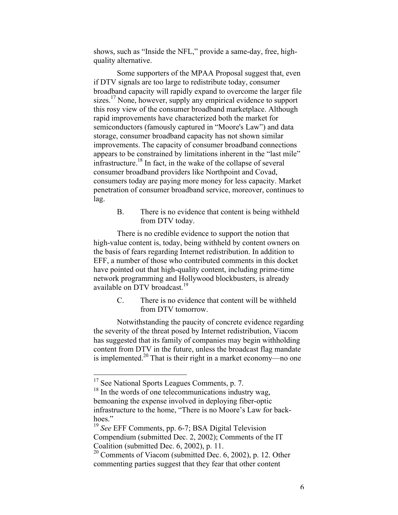shows, such as "Inside the NFL," provide a same-day, free, highquality alternative.

Some supporters of the MPAA Proposal suggest that, even if DTV signals are too large to redistribute today, consumer broadband capacity will rapidly expand to overcome the larger file sizes.<sup>17</sup> None, however, supply any empirical evidence to support this rosy view of the consumer broadband marketplace. Although rapid improvements have characterized both the market for semiconductors (famously captured in "Moore's Law") and data storage, consumer broadband capacity has not shown similar improvements. The capacity of consumer broadband connections appears to be constrained by limitations inherent in the "last mile" infrastructure.<sup>18</sup> In fact, in the wake of the collapse of several consumer broadband providers like Northpoint and Covad, consumers today are paying more money for less capacity. Market penetration of consumer broadband service, moreover, continues to lag.

> B. There is no evidence that content is being withheld from DTV today.

There is no credible evidence to support the notion that high-value content is, today, being withheld by content owners on the basis of fears regarding Internet redistribution. In addition to EFF, a number of those who contributed comments in this docket have pointed out that high-quality content, including prime-time network programming and Hollywood blockbusters, is already available on DTV broadcast.<sup>19</sup>

> C. There is no evidence that content will be withheld from DTV tomorrow.

Notwithstanding the paucity of concrete evidence regarding the severity of the threat posed by Internet redistribution, Viacom has suggested that its family of companies may begin withholding content from DTV in the future, unless the broadcast flag mandate is implemented.<sup>20</sup> That is their right in a market economy—no one

<sup>&</sup>lt;sup>17</sup> See National Sports Leagues Comments, p. 7.

<sup>&</sup>lt;sup>18</sup> In the words of one telecommunications industry wag, bemoaning the expense involved in deploying fiber-optic infrastructure to the home, "There is no Moore's Law for backhoes."

<sup>19</sup> *See* EFF Comments, pp. 6-7; BSA Digital Television Compendium (submitted Dec. 2, 2002); Comments of the IT Coalition (submitted Dec. 6, 2002), p. 11.

 $20$  Comments of Viacom (submitted Dec. 6, 2002), p. 12. Other commenting parties suggest that they fear that other content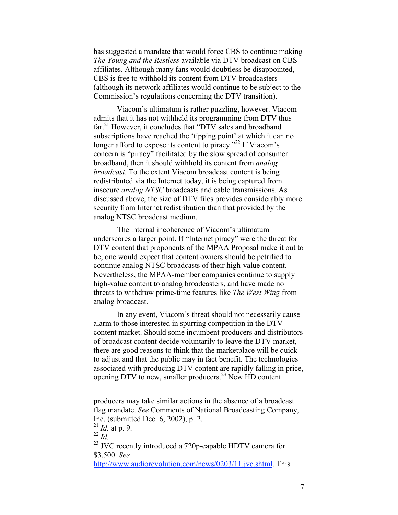has suggested a mandate that would force CBS to continue making *The Young and the Restless* available via DTV broadcast on CBS affiliates. Although many fans would doubtless be disappointed, CBS is free to withhold its content from DTV broadcasters (although its network affiliates would continue to be subject to the Commission's regulations concerning the DTV transition).

Viacom's ultimatum is rather puzzling, however. Viacom admits that it has not withheld its programming from DTV thus far.<sup>21</sup> However, it concludes that "DTV sales and broadband subscriptions have reached the 'tipping point' at which it can no longer afford to expose its content to piracy."<sup>22</sup> If Viacom's concern is "piracy" facilitated by the slow spread of consumer broadband, then it should withhold its content from *analog broadcast*. To the extent Viacom broadcast content is being redistributed via the Internet today, it is being captured from insecure *analog NTSC* broadcasts and cable transmissions. As discussed above, the size of DTV files provides considerably more security from Internet redistribution than that provided by the analog NTSC broadcast medium.

The internal incoherence of Viacom's ultimatum underscores a larger point. If "Internet piracy" were the threat for DTV content that proponents of the MPAA Proposal make it out to be, one would expect that content owners should be petrified to continue analog NTSC broadcasts of their high-value content. Nevertheless, the MPAA-member companies continue to supply high-value content to analog broadcasters, and have made no threats to withdraw prime-time features like *The West Wing* from analog broadcast.

In any event, Viacom's threat should not necessarily cause alarm to those interested in spurring competition in the DTV content market. Should some incumbent producers and distributors of broadcast content decide voluntarily to leave the DTV market, there are good reasons to think that the marketplace will be quick to adjust and that the public may in fact benefit. The technologies associated with producing DTV content are rapidly falling in price, opening DTV to new, smaller producers.<sup>23</sup> New HD content

 $\overline{a}$ 

<sup>23</sup> JVC recently introduced a 720p-capable HDTV camera for \$3,500. *See* http://www.audiorevolution.com/news/0203/11.jvc.shtml. This

producers may take similar actions in the absence of a broadcast flag mandate. *See* Comments of National Broadcasting Company, Inc. (submitted Dec. 6, 2002), p. 2.

 $^{21}$  *Id.* at p. 9.

<sup>22</sup> *Id.*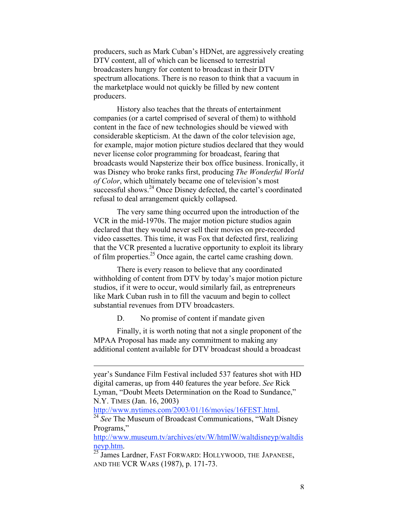producers, such as Mark Cuban's HDNet, are aggressively creating DTV content, all of which can be licensed to terrestrial broadcasters hungry for content to broadcast in their DTV spectrum allocations. There is no reason to think that a vacuum in the marketplace would not quickly be filled by new content producers.

History also teaches that the threats of entertainment companies (or a cartel comprised of several of them) to withhold content in the face of new technologies should be viewed with considerable skepticism. At the dawn of the color television age, for example, major motion picture studios declared that they would never license color programming for broadcast, fearing that broadcasts would Napsterize their box office business. Ironically, it was Disney who broke ranks first, producing *The Wonderful World of Color*, which ultimately became one of television's most successful shows.<sup>24</sup> Once Disney defected, the cartel's coordinated refusal to deal arrangement quickly collapsed.

The very same thing occurred upon the introduction of the VCR in the mid-1970s. The major motion picture studios again declared that they would never sell their movies on pre-recorded video cassettes. This time, it was Fox that defected first, realizing that the VCR presented a lucrative opportunity to exploit its library of film properties.<sup>25</sup> Once again, the cartel came crashing down.

There is every reason to believe that any coordinated withholding of content from DTV by today's major motion picture studios, if it were to occur, would similarly fail, as entrepreneurs like Mark Cuban rush in to fill the vacuum and begin to collect substantial revenues from DTV broadcasters.

D. No promise of content if mandate given

Finally, it is worth noting that not a single proponent of the MPAA Proposal has made any commitment to making any additional content available for DTV broadcast should a broadcast

 $\overline{a}$ 

year's Sundance Film Festival included 537 features shot with HD digital cameras, up from 440 features the year before. *See* Rick Lyman, "Doubt Meets Determination on the Road to Sundance," N.Y. TIMES (Jan. 16, 2003)<br>http://www.nytimes.com/2003/01/16/movies/16FEST.html.

<sup>&</sup>lt;sup>24</sup> See The Museum of Broadcast Communications, "Walt Disney" Programs,"

http://www.museum.tv/archives/etv/W/htmlW/waltdisneyp/waltdis neyp.htm.

<sup>&</sup>lt;sup>25</sup> James Lardner, FAST FORWARD: HOLLYWOOD, THE JAPANESE, AND THE VCR WARS (1987), p. 171-73.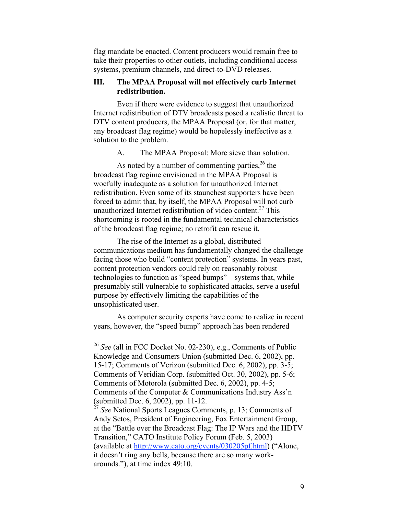flag mandate be enacted. Content producers would remain free to take their properties to other outlets, including conditional access systems, premium channels, and direct-to-DVD releases.

### **III. The MPAA Proposal will not effectively curb Internet redistribution.**

Even if there were evidence to suggest that unauthorized Internet redistribution of DTV broadcasts posed a realistic threat to DTV content producers, the MPAA Proposal (or, for that matter, any broadcast flag regime) would be hopelessly ineffective as a solution to the problem.

A. The MPAA Proposal: More sieve than solution.

As noted by a number of commenting parties, $^{26}$  the broadcast flag regime envisioned in the MPAA Proposal is woefully inadequate as a solution for unauthorized Internet redistribution. Even some of its staunchest supporters have been forced to admit that, by itself, the MPAA Proposal will not curb unauthorized Internet redistribution of video content.<sup>27</sup> This shortcoming is rooted in the fundamental technical characteristics of the broadcast flag regime; no retrofit can rescue it.

The rise of the Internet as a global, distributed communications medium has fundamentally changed the challenge facing those who build "content protection" systems. In years past, content protection vendors could rely on reasonably robust technologies to function as "speed bumps"—systems that, while presumably still vulnerable to sophisticated attacks, serve a useful purpose by effectively limiting the capabilities of the unsophisticated user.

As computer security experts have come to realize in recent years, however, the "speed bump" approach has been rendered

 <sup>26</sup> *See* (all in FCC Docket No. 02-230), e.g., Comments of Public Knowledge and Consumers Union (submitted Dec. 6, 2002), pp. 15-17; Comments of Verizon (submitted Dec. 6, 2002), pp. 3-5; Comments of Veridian Corp. (submitted Oct. 30, 2002), pp. 5-6; Comments of Motorola (submitted Dec. 6, 2002), pp. 4-5; Comments of the Computer & Communications Industry Ass'n (submitted Dec. 6, 2002), pp. 11-12.

<sup>&</sup>lt;sup>27</sup> See National Sports Leagues Comments, p. 13; Comments of Andy Setos, President of Engineering, Fox Entertainment Group, at the "Battle over the Broadcast Flag: The IP Wars and the HDTV Transition," CATO Institute Policy Forum (Feb. 5, 2003) (available at http://www.cato.org/events/030205pf.html) ("Alone, it doesn't ring any bells, because there are so many workarounds."), at time index 49:10.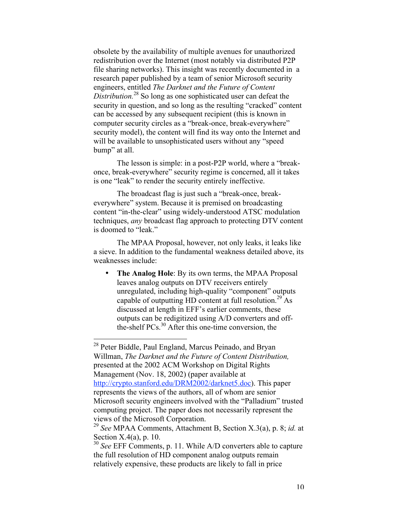obsolete by the availability of multiple avenues for unauthorized redistribution over the Internet (most notably via distributed P2P file sharing networks). This insight was recently documented in a research paper published by a team of senior Microsoft security engineers, entitled *The Darknet and the Future of Content Distribution.*<sup>28</sup> So long as one sophisticated user can defeat the security in question, and so long as the resulting "cracked" content can be accessed by any subsequent recipient (this is known in computer security circles as a "break-once, break-everywhere" security model), the content will find its way onto the Internet and will be available to unsophisticated users without any "speed bump" at all.

The lesson is simple: in a post-P2P world, where a "breakonce, break-everywhere" security regime is concerned, all it takes is one "leak" to render the security entirely ineffective.

The broadcast flag is just such a "break-once, breakeverywhere" system. Because it is premised on broadcasting content "in-the-clear" using widely-understood ATSC modulation techniques, *any* broadcast flag approach to protecting DTV content is doomed to "leak."

The MPAA Proposal, however, not only leaks, it leaks like a sieve. In addition to the fundamental weakness detailed above, its weaknesses include:

> **The Analog Hole**: By its own terms, the MPAA Proposal leaves analog outputs on DTV receivers entirely unregulated, including high-quality "component" outputs capable of outputting HD content at full resolution.<sup>29</sup> As discussed at length in EFF's earlier comments, these outputs can be redigitized using A/D converters and offthe-shelf PCs.<sup>30</sup> After this one-time conversion, the

<sup>&</sup>lt;sup>28</sup> Peter Biddle, Paul England, Marcus Peinado, and Bryan Willman, *The Darknet and the Future of Content Distribution,* presented at the 2002 ACM Workshop on Digital Rights Management (Nov. 18, 2002) (paper available at http://crypto.stanford.edu/DRM2002/darknet5.doc). This paper represents the views of the authors, all of whom are senior Microsoft security engineers involved with the "Palladium" trusted computing project. The paper does not necessarily represent the views of the Microsoft Corporation.

<sup>29</sup> *See* MPAA Comments, Attachment B, Section X.3(a), p. 8; *id.* at Section X.4(a), p. 10.

<sup>&</sup>lt;sup>30</sup> *See* EFF Comments, p. 11. While A/D converters able to capture the full resolution of HD component analog outputs remain relatively expensive, these products are likely to fall in price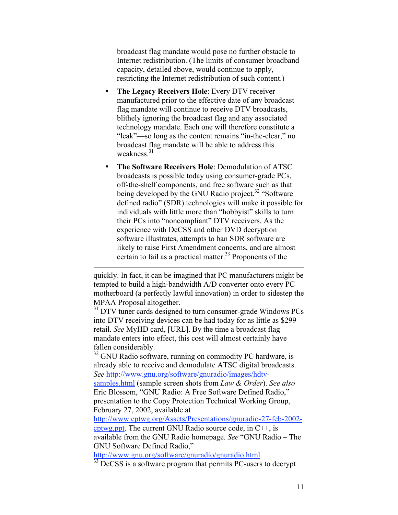broadcast flag mandate would pose no further obstacle to Internet redistribution. (The limits of consumer broadband capacity, detailed above, would continue to apply, restricting the Internet redistribution of such content.)

**The Legacy Receivers Hole**: Every DTV receiver manufactured prior to the effective date of any broadcast flag mandate will continue to receive DTV broadcasts, blithely ignoring the broadcast flag and any associated technology mandate. Each one will therefore constitute a "leak"—so long as the content remains "in-the-clear," no broadcast flag mandate will be able to address this weakness $^{31}$ 

**The Software Receivers Hole**: Demodulation of ATSC broadcasts is possible today using consumer-grade PCs, off-the-shelf components, and free software such as that being developed by the GNU Radio project.<sup>32</sup> "Software defined radio" (SDR) technologies will make it possible for individuals with little more than "hobbyist" skills to turn their PCs into "noncompliant" DTV receivers. As the experience with DeCSS and other DVD decryption software illustrates, attempts to ban SDR software are likely to raise First Amendment concerns, and are almost certain to fail as a practical matter.<sup>33</sup> Proponents of the

quickly. In fact, it can be imagined that PC manufacturers might be tempted to build a high-bandwidth A/D converter onto every PC motherboard (a perfectly lawful innovation) in order to sidestep the MPAA Proposal altogether.

 $\overline{a}$ 

<sup>31</sup> DTV tuner cards designed to turn consumer-grade Windows PCs into DTV receiving devices can be had today for as little as \$299 retail. *See* MyHD card, [URL]. By the time a broadcast flag mandate enters into effect, this cost will almost certainly have fallen considerably.

<sup>32</sup> GNU Radio software, running on commodity PC hardware, is already able to receive and demodulate ATSC digital broadcasts. *See* http://www.gnu.org/software/gnuradio/images/hdtvsamples.html (sample screen shots from *Law & Order*). *See also* Eric Blossom, "GNU Radio: A Free Software Defined Radio," presentation to the Copy Protection Technical Working Group, February 27, 2002, available at

http://www.cptwg.org/Assets/Presentations/gnuradio-27-feb-2002 cptwg.ppt. The current GNU Radio source code, in C++, is available from the GNU Radio homepage. *See* "GNU Radio – The GNU Software Defined Radio,"

http://www.gnu.org/software/gnuradio/gnuradio.html. <sup>33</sup>

 $\frac{33}{33}$  DeCSS is a software program that permits PC-users to decrypt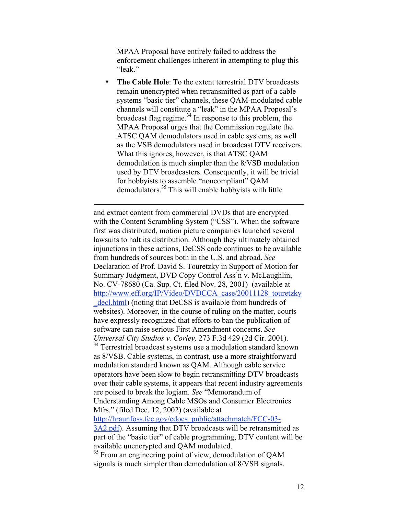MPAA Proposal have entirely failed to address the enforcement challenges inherent in attempting to plug this "leak."

**The Cable Hole**: To the extent terrestrial DTV broadcasts remain unencrypted when retransmitted as part of a cable systems "basic tier" channels, these QAM-modulated cable channels will constitute a "leak" in the MPAA Proposal's broadcast flag regime. $34$  In response to this problem, the MPAA Proposal urges that the Commission regulate the ATSC QAM demodulators used in cable systems, as well as the VSB demodulators used in broadcast DTV receivers. What this ignores, however, is that ATSC QAM demodulation is much simpler than the 8/VSB modulation used by DTV broadcasters. Consequently, it will be trivial for hobbyists to assemble "noncompliant" QAM demodulators.<sup>35</sup> This will enable hobbyists with little

and extract content from commercial DVDs that are encrypted with the Content Scrambling System ("CSS"). When the software first was distributed, motion picture companies launched several lawsuits to halt its distribution. Although they ultimately obtained injunctions in these actions, DeCSS code continues to be available from hundreds of sources both in the U.S. and abroad. *See* Declaration of Prof. David S. Touretzky in Support of Motion for Summary Judgment, DVD Copy Control Ass'n v. McLaughlin, No. CV-78680 (Ca. Sup. Ct. filed Nov. 28, 2001) (available at http://www.eff.org/IP/Video/DVDCCA\_case/20011128\_touretzky decl.html) (noting that DeCSS is available from hundreds of websites). Moreover, in the course of ruling on the matter, courts have expressly recognized that efforts to ban the publication of software can raise serious First Amendment concerns. *See Universal City Studios v. Corley,* 273 F.3d 429 (2d Cir. 2001). <sup>34</sup> Terrestrial broadcast systems use a modulation standard known as 8/VSB. Cable systems, in contrast, use a more straightforward modulation standard known as QAM. Although cable service operators have been slow to begin retransmitting DTV broadcasts over their cable systems, it appears that recent industry agreements are poised to break the logjam. *See* "Memorandum of Understanding Among Cable MSOs and Consumer Electronics

Mfrs." (filed Dec. 12, 2002) (available at

 $\overline{a}$ 

http://hraunfoss.fcc.gov/edocs\_public/attachmatch/FCC-03- 3A2.pdf). Assuming that DTV broadcasts will be retransmitted as part of the "basic tier" of cable programming, DTV content will be available unencrypted and QAM modulated.

<sup>35</sup> From an engineering point of view, demodulation of QAM signals is much simpler than demodulation of 8/VSB signals.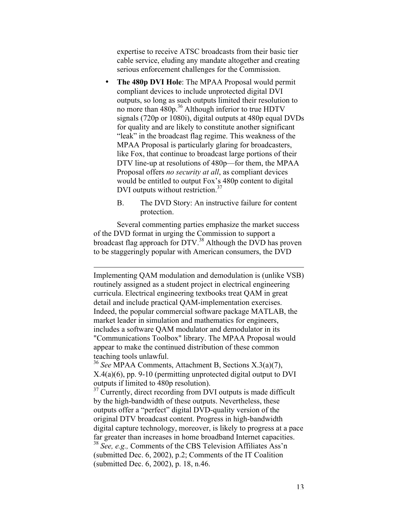expertise to receive ATSC broadcasts from their basic tier cable service, eluding any mandate altogether and creating serious enforcement challenges for the Commission.

**The 480p DVI Hole**: The MPAA Proposal would permit compliant devices to include unprotected digital DVI outputs, so long as such outputs limited their resolution to no more than 480p.<sup>36</sup> Although inferior to true HDTV signals (720p or 1080i), digital outputs at 480p equal DVDs for quality and are likely to constitute another significant "leak" in the broadcast flag regime. This weakness of the MPAA Proposal is particularly glaring for broadcasters, like Fox, that continue to broadcast large portions of their DTV line-up at resolutions of 480p—for them, the MPAA Proposal offers *no security at all*, as compliant devices would be entitled to output Fox's 480p content to digital DVI outputs without restriction.<sup>37</sup>

B. The DVD Story: An instructive failure for content protection.

Several commenting parties emphasize the market success of the DVD format in urging the Commission to support a broadcast flag approach for DTV.<sup>38</sup> Although the DVD has proven to be staggeringly popular with American consumers, the DVD

 $\overline{a}$ 

Implementing QAM modulation and demodulation is (unlike VSB) routinely assigned as a student project in electrical engineering curricula. Electrical engineering textbooks treat QAM in great detail and include practical QAM-implementation exercises. Indeed, the popular commercial software package MATLAB, the market leader in simulation and mathematics for engineers, includes a software QAM modulator and demodulator in its "Communications Toolbox" library. The MPAA Proposal would appear to make the continued distribution of these common teaching tools unlawful.

<sup>36</sup> *See* MPAA Comments, Attachment B, Sections X.3(a)(7), X.4(a)(6), pp. 9-10 (permitting unprotected digital output to DVI outputs if limited to 480p resolution).

 $37$  Currently, direct recording from DVI outputs is made difficult by the high-bandwidth of these outputs. Nevertheless, these outputs offer a "perfect" digital DVD-quality version of the original DTV broadcast content. Progress in high-bandwidth digital capture technology, moreover, is likely to progress at a pace far greater than increases in home broadband Internet capacities. <sup>38</sup> *See, e.g.,* Comments of the CBS Television Affiliates Ass'n

(submitted Dec. 6, 2002), p.2; Comments of the IT Coalition (submitted Dec. 6, 2002), p. 18, n.46.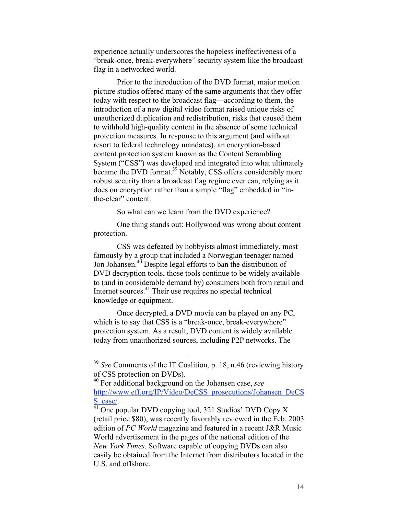experience actually underscores the hopeless ineffectiveness of a "break-once, break-everywhere" security system like the broadcast flag in a networked world.

Prior to the introduction of the DVD format, major motion picture studios offered many of the same arguments that they offer today with respect to the broadcast flag—according to them, the introduction of a new digital video format raised unique risks of unauthorized duplication and redistribution, risks that caused them to withhold high-quality content in the absence of some technical protection measures. In response to this argument (and without resort to federal technology mandates), an encryption-based content protection system known as the Content Scrambling System ("CSS") was developed and integrated into what ultimately became the DVD format.<sup>39</sup> Notably, CSS offers considerably more robust security than a broadcast flag regime ever can, relying as it does on encryption rather than a simple "flag" embedded in "inthe-clear" content.

So what can we learn from the DVD experience?

One thing stands out: Hollywood was wrong about content protection.

CSS was defeated by hobbyists almost immediately, most famously by a group that included a Norwegian teenager named Jon Johansen.<sup>40</sup> Despite legal efforts to ban the distribution of DVD decryption tools, those tools continue to be widely available to (and in considerable demand by) consumers both from retail and Internet sources.<sup>41</sup> Their use requires no special technical knowledge or equipment.

Once decrypted, a DVD movie can be played on any PC, which is to say that CSS is a "break-once, break-everywhere" protection system. As a result, DVD content is widely available today from unauthorized sources, including P2P networks. The

<sup>&</sup>lt;sup>39</sup> *See* Comments of the IT Coalition, p. 18, n.46 (reviewing history of CSS protection on DVDs).

<sup>40</sup> For additional background on the Johansen case, *see* http://www.eff.org/IP/Video/DeCSS\_prosecutions/Johansen\_DeCS S\_case/.<br><sup>41</sup> One popular DVD copying tool, 321 Studios' DVD Copy X

<sup>(</sup>retail price \$80), was recently favorably reviewed in the Feb. 2003 edition of *PC World* magazine and featured in a recent J&R Music World advertisement in the pages of the national edition of the *New York Times*. Software capable of copying DVDs can also easily be obtained from the Internet from distributors located in the U.S. and offshore.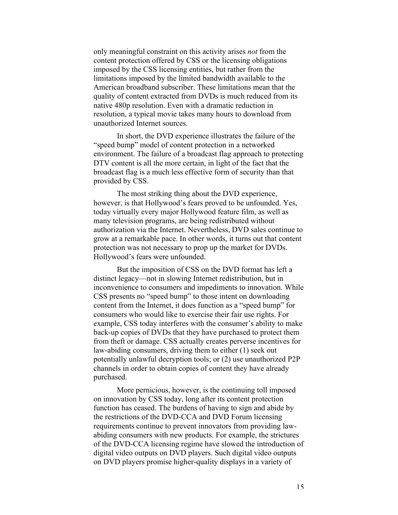only meaningful constraint on this activity arises *not* from the content protection offered by CSS or the licensing obligations imposed by the CSS licensing entities, but rather from the limitations imposed by the limited bandwidth available to the American broadband subscriber. These limitations mean that the quality of content extracted from DVDs is much reduced from its native 480p resolution. Even with a dramatic reduction in resolution, a typical movie takes many hours to download from unauthorized Internet sources.

In short, the DVD experience illustrates the failure of the "speed bump" model of content protection in a networked environment. The failure of a broadcast flag approach to protecting DTV content is all the more certain, in light of the fact that the broadcast flag is a much less effective form of security than that provided by CSS.

The most striking thing about the DVD experience, however, is that Hollywood's fears proved to be unfounded. Yes, today virtually every major Hollywood feature film, as well as many television programs, are being redistributed without authorization via the Internet. Nevertheless, DVD sales continue to grow at a remarkable pace. In other words, it turns out that content protection was not necessary to prop up the market for DVDs. Hollywood's fears were unfounded.

But the imposition of CSS on the DVD format has left a distinct legacy—not in slowing Internet redistribution, but in inconvenience to consumers and impediments to innovation. While CSS presents no "speed bump" to those intent on downloading content from the Internet, it does function as a "speed bump" for consumers who would like to exercise their fair use rights. For example, CSS today interferes with the consumer's ability to make back-up copies of DVDs that they have purchased to protect them from theft or damage. CSS actually creates perverse incentives for law-abiding consumers, driving them to either (1) seek out potentially unlawful decryption tools; or (2) use unauthorized P2P channels in order to obtain copies of content they have already purchased.

More pernicious, however, is the continuing toll imposed on innovation by CSS today, long after its content protection function has ceased. The burdens of having to sign and abide by the restrictions of the DVD-CCA and DVD Forum licensing requirements continue to prevent innovators from providing lawabiding consumers with new products. For example, the strictures of the DVD-CCA licensing regime have slowed the introduction of digital video outputs on DVD players. Such digital video outputs on DVD players promise higher-quality displays in a variety of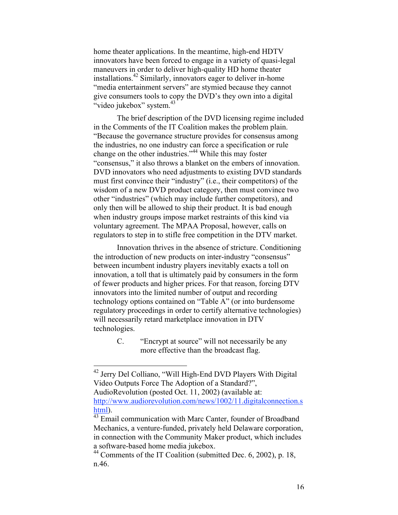home theater applications. In the meantime, high-end HDTV innovators have been forced to engage in a variety of quasi-legal maneuvers in order to deliver high-quality HD home theater installations.42 Similarly, innovators eager to deliver in-home "media entertainment servers" are stymied because they cannot give consumers tools to copy the DVD's they own into a digital "video jukebox" system.<sup>43</sup>

The brief description of the DVD licensing regime included in the Comments of the IT Coalition makes the problem plain. "Because the governance structure provides for consensus among the industries, no one industry can force a specification or rule change on the other industries."<sup>44</sup> While this may foster "consensus," it also throws a blanket on the embers of innovation. DVD innovators who need adjustments to existing DVD standards must first convince their "industry" (i.e., their competitors) of the wisdom of a new DVD product category, then must convince two other "industries" (which may include further competitors), and only then will be allowed to ship their product. It is bad enough when industry groups impose market restraints of this kind via voluntary agreement. The MPAA Proposal, however, calls on regulators to step in to stifle free competition in the DTV market.

Innovation thrives in the absence of stricture. Conditioning the introduction of new products on inter-industry "consensus" between incumbent industry players inevitably exacts a toll on innovation, a toll that is ultimately paid by consumers in the form of fewer products and higher prices. For that reason, forcing DTV innovators into the limited number of output and recording technology options contained on "Table A" (or into burdensome regulatory proceedings in order to certify alternative technologies) will necessarily retard marketplace innovation in DTV technologies.

> C. "Encrypt at source" will not necessarily be any more effective than the broadcast flag.

 <sup>42</sup> Jerry Del Colliano, "Will High-End DVD Players With Digital Video Outputs Force The Adoption of a Standard?", AudioRevolution (posted Oct. 11, 2002) (available at: http://www.audiorevolution.com/news/1002/11.digitalconnection.s html).

 $43$  Email communication with Marc Canter, founder of Broadband Mechanics, a venture-funded, privately held Delaware corporation, in connection with the Community Maker product, which includes a software-based home media jukebox.

<sup>&</sup>lt;sup>44</sup> Comments of the IT Coalition (submitted Dec. 6, 2002), p. 18, n.46.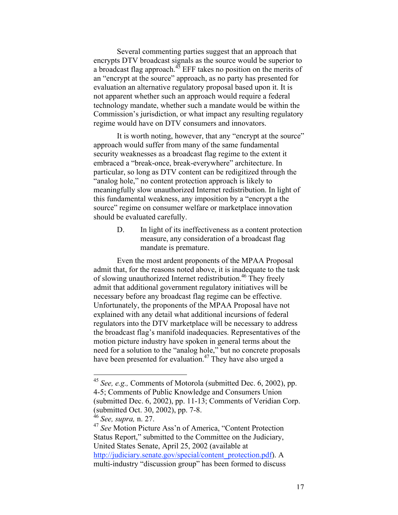Several commenting parties suggest that an approach that encrypts DTV broadcast signals as the source would be superior to a broadcast flag approach. $45$  EFF takes no position on the merits of an "encrypt at the source" approach, as no party has presented for evaluation an alternative regulatory proposal based upon it. It is not apparent whether such an approach would require a federal technology mandate, whether such a mandate would be within the Commission's jurisdiction, or what impact any resulting regulatory regime would have on DTV consumers and innovators.

It is worth noting, however, that any "encrypt at the source" approach would suffer from many of the same fundamental security weaknesses as a broadcast flag regime to the extent it embraced a "break-once, break-everywhere" architecture. In particular, so long as DTV content can be redigitized through the "analog hole," no content protection approach is likely to meaningfully slow unauthorized Internet redistribution. In light of this fundamental weakness, any imposition by a "encrypt a the source" regime on consumer welfare or marketplace innovation should be evaluated carefully.

> D. In light of its ineffectiveness as a content protection measure, any consideration of a broadcast flag mandate is premature.

Even the most ardent proponents of the MPAA Proposal admit that, for the reasons noted above, it is inadequate to the task of slowing unauthorized Internet redistribution.<sup>46</sup> They freely admit that additional government regulatory initiatives will be necessary before any broadcast flag regime can be effective. Unfortunately, the proponents of the MPAA Proposal have not explained with any detail what additional incursions of federal regulators into the DTV marketplace will be necessary to address the broadcast flag's manifold inadequacies. Representatives of the motion picture industry have spoken in general terms about the need for a solution to the "analog hole," but no concrete proposals have been presented for evaluation.<sup>47</sup> They have also urged a

 <sup>45</sup> *See, e.g.,* Comments of Motorola (submitted Dec. 6, 2002), pp. 4-5; Comments of Public Knowledge and Consumers Union (submitted Dec. 6, 2002), pp. 11-13; Comments of Veridian Corp. (submitted Oct. 30, 2002), pp. 7-8.

<sup>46</sup> *See, supra,* n. 27.

<sup>47</sup> *See* Motion Picture Ass'n of America, "Content Protection Status Report," submitted to the Committee on the Judiciary, United States Senate, April 25, 2002 (available at http://judiciary.senate.gov/special/content\_protection.pdf). A multi-industry "discussion group" has been formed to discuss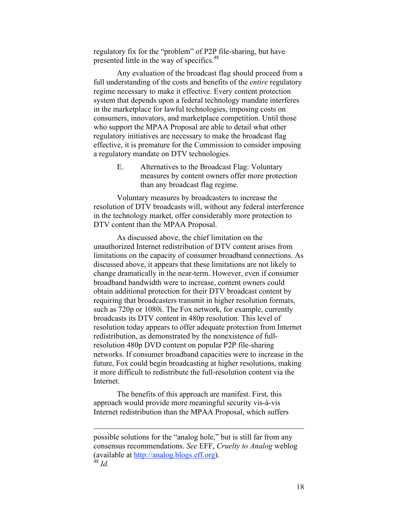regulatory fix for the "problem" of P2P file-sharing, but have presented little in the way of specifics.<sup>48</sup>

Any evaluation of the broadcast flag should proceed from a full understanding of the costs and benefits of the *entire* regulatory regime necessary to make it effective. Every content protection system that depends upon a federal technology mandate interferes in the marketplace for lawful technologies, imposing costs on consumers, innovators, and marketplace competition. Until those who support the MPAA Proposal are able to detail what other regulatory initiatives are necessary to make the broadcast flag effective, it is premature for the Commission to consider imposing a regulatory mandate on DTV technologies.

> E. Alternatives to the Broadcast Flag: Voluntary measures by content owners offer more protection than any broadcast flag regime.

Voluntary measures by broadcasters to increase the resolution of DTV broadcasts will, without any federal interference in the technology market, offer considerably more protection to DTV content than the MPAA Proposal.

As discussed above, the chief limitation on the unauthorized Internet redistribution of DTV content arises from limitations on the capacity of consumer broadband connections. As discussed above, it appears that these limitations are not likely to change dramatically in the near-term. However, even if consumer broadband bandwidth were to increase, content owners could obtain additional protection for their DTV broadcast content by requiring that broadcasters transmit in higher resolution formats, such as 720p or 1080i. The Fox network, for example, currently broadcasts its DTV content in 480p resolution. This level of resolution today appears to offer adequate protection from Internet redistribution, as demonstrated by the nonexistence of fullresolution 480p DVD content on popular P2P file-sharing networks. If consumer broadband capacities were to increase in the future, Fox could begin broadcasting at higher resolutions, making it more difficult to redistribute the full-resolution content via the Internet.

The benefits of this approach are manifest. First, this approach would provide more meaningful security vis-à-vis Internet redistribution than the MPAA Proposal, which suffers

 $\overline{a}$ 

possible solutions for the "analog hole," but is still far from any consensus recommendations. *See* EFF, *Cruelty to Analog* weblog (available at http://analog.blogs.eff.org).  $48$  *Id.*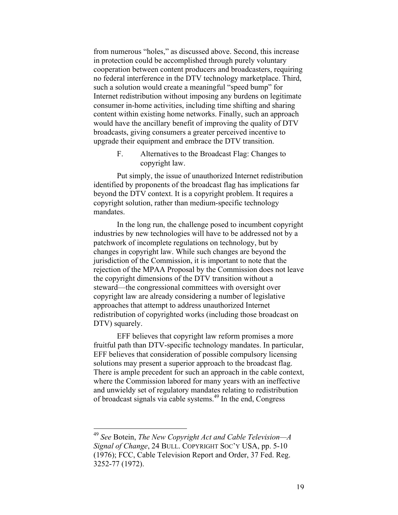from numerous "holes," as discussed above. Second, this increase in protection could be accomplished through purely voluntary cooperation between content producers and broadcasters, requiring no federal interference in the DTV technology marketplace. Third, such a solution would create a meaningful "speed bump" for Internet redistribution without imposing any burdens on legitimate consumer in-home activities, including time shifting and sharing content within existing home networks. Finally, such an approach would have the ancillary benefit of improving the quality of DTV broadcasts, giving consumers a greater perceived incentive to upgrade their equipment and embrace the DTV transition.

> F. Alternatives to the Broadcast Flag: Changes to copyright law.

Put simply, the issue of unauthorized Internet redistribution identified by proponents of the broadcast flag has implications far beyond the DTV context. It is a copyright problem. It requires a copyright solution, rather than medium-specific technology mandates.

In the long run, the challenge posed to incumbent copyright industries by new technologies will have to be addressed not by a patchwork of incomplete regulations on technology, but by changes in copyright law. While such changes are beyond the jurisdiction of the Commission, it is important to note that the rejection of the MPAA Proposal by the Commission does not leave the copyright dimensions of the DTV transition without a steward—the congressional committees with oversight over copyright law are already considering a number of legislative approaches that attempt to address unauthorized Internet redistribution of copyrighted works (including those broadcast on DTV) squarely.

EFF believes that copyright law reform promises a more fruitful path than DTV-specific technology mandates. In particular, EFF believes that consideration of possible compulsory licensing solutions may present a superior approach to the broadcast flag. There is ample precedent for such an approach in the cable context, where the Commission labored for many years with an ineffective and unwieldy set of regulatory mandates relating to redistribution of broadcast signals via cable systems.<sup>49</sup> In the end, Congress

 <sup>49</sup> *See* Botein, *The New Copyright Act and Cable Television—A Signal of Change*, 24 BULL. COPYRIGHT SOC'Y USA, pp. 5-10 (1976); FCC, Cable Television Report and Order, 37 Fed. Reg. 3252-77 (1972).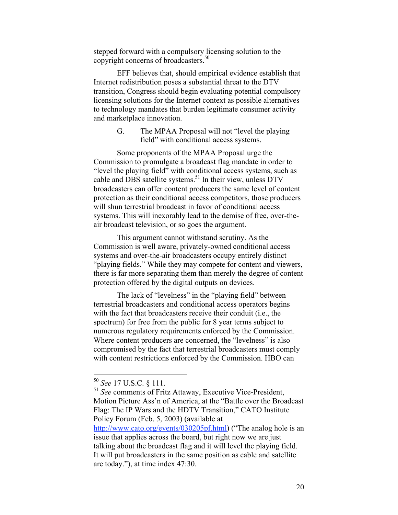stepped forward with a compulsory licensing solution to the copyright concerns of broadcasters.<sup>50</sup>

EFF believes that, should empirical evidence establish that Internet redistribution poses a substantial threat to the DTV transition, Congress should begin evaluating potential compulsory licensing solutions for the Internet context as possible alternatives to technology mandates that burden legitimate consumer activity and marketplace innovation.

> G. The MPAA Proposal will not "level the playing field" with conditional access systems.

Some proponents of the MPAA Proposal urge the Commission to promulgate a broadcast flag mandate in order to "level the playing field" with conditional access systems, such as cable and DBS satellite systems.<sup>51</sup> In their view, unless DTV broadcasters can offer content producers the same level of content protection as their conditional access competitors, those producers will shun terrestrial broadcast in favor of conditional access systems. This will inexorably lead to the demise of free, over-theair broadcast television, or so goes the argument.

This argument cannot withstand scrutiny. As the Commission is well aware, privately-owned conditional access systems and over-the-air broadcasters occupy entirely distinct "playing fields." While they may compete for content and viewers, there is far more separating them than merely the degree of content protection offered by the digital outputs on devices.

The lack of "levelness" in the "playing field" between terrestrial broadcasters and conditional access operators begins with the fact that broadcasters receive their conduit (i.e., the spectrum) for free from the public for 8 year terms subject to numerous regulatory requirements enforced by the Commission. Where content producers are concerned, the "levelness" is also compromised by the fact that terrestrial broadcasters must comply with content restrictions enforced by the Commission. HBO can

 <sup>50</sup> *See* 17 U.S.C. § 111.

<sup>51</sup> *See* comments of Fritz Attaway, Executive Vice-President, Motion Picture Ass'n of America, at the "Battle over the Broadcast Flag: The IP Wars and the HDTV Transition," CATO Institute Policy Forum (Feb. 5, 2003) (available at http://www.cato.org/events/030205pf.html) ("The analog hole is an

issue that applies across the board, but right now we are just talking about the broadcast flag and it will level the playing field. It will put broadcasters in the same position as cable and satellite are today."), at time index 47:30.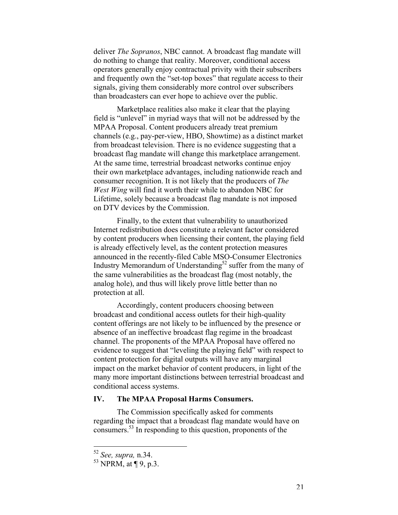deliver *The Sopranos*, NBC cannot. A broadcast flag mandate will do nothing to change that reality. Moreover, conditional access operators generally enjoy contractual privity with their subscribers and frequently own the "set-top boxes" that regulate access to their signals, giving them considerably more control over subscribers than broadcasters can ever hope to achieve over the public.

Marketplace realities also make it clear that the playing field is "unlevel" in myriad ways that will not be addressed by the MPAA Proposal. Content producers already treat premium channels (e.g., pay-per-view, HBO, Showtime) as a distinct market from broadcast television. There is no evidence suggesting that a broadcast flag mandate will change this marketplace arrangement. At the same time, terrestrial broadcast networks continue enjoy their own marketplace advantages, including nationwide reach and consumer recognition. It is not likely that the producers of *The West Wing* will find it worth their while to abandon NBC for Lifetime, solely because a broadcast flag mandate is not imposed on DTV devices by the Commission.

Finally, to the extent that vulnerability to unauthorized Internet redistribution does constitute a relevant factor considered by content producers when licensing their content, the playing field is already effectively level, as the content protection measures announced in the recently-filed Cable MSO-Consumer Electronics Industry Memorandum of Understanding<sup>52</sup> suffer from the many of the same vulnerabilities as the broadcast flag (most notably, the analog hole), and thus will likely prove little better than no protection at all.

Accordingly, content producers choosing between broadcast and conditional access outlets for their high-quality content offerings are not likely to be influenced by the presence or absence of an ineffective broadcast flag regime in the broadcast channel. The proponents of the MPAA Proposal have offered no evidence to suggest that "leveling the playing field" with respect to content protection for digital outputs will have any marginal impact on the market behavior of content producers, in light of the many more important distinctions between terrestrial broadcast and conditional access systems.

#### **IV. The MPAA Proposal Harms Consumers.**

The Commission specifically asked for comments regarding the impact that a broadcast flag mandate would have on consumers.53 In responding to this question, proponents of the

 <sup>52</sup> *See, supra,* n.34.

 $^{53}$  NPRM, at ¶ 9, p.3.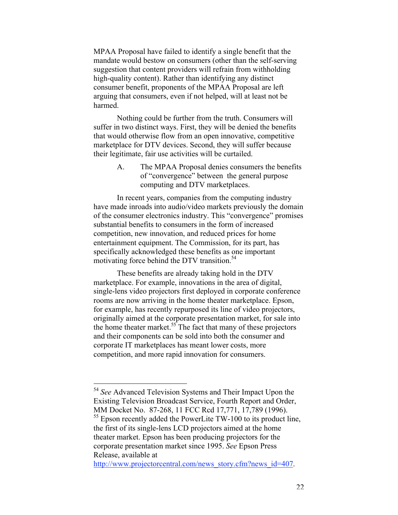MPAA Proposal have failed to identify a single benefit that the mandate would bestow on consumers (other than the self-serving suggestion that content providers will refrain from withholding high-quality content). Rather than identifying any distinct consumer benefit, proponents of the MPAA Proposal are left arguing that consumers, even if not helped, will at least not be harmed.

Nothing could be further from the truth. Consumers will suffer in two distinct ways. First, they will be denied the benefits that would otherwise flow from an open innovative, competitive marketplace for DTV devices. Second, they will suffer because their legitimate, fair use activities will be curtailed.

> A. The MPAA Proposal denies consumers the benefits of "convergence" between the general purpose computing and DTV marketplaces.

In recent years, companies from the computing industry have made inroads into audio/video markets previously the domain of the consumer electronics industry. This "convergence" promises substantial benefits to consumers in the form of increased competition, new innovation, and reduced prices for home entertainment equipment. The Commission, for its part, has specifically acknowledged these benefits as one important motivating force behind the DTV transition.<sup>54</sup>

These benefits are already taking hold in the DTV marketplace. For example, innovations in the area of digital, single-lens video projectors first deployed in corporate conference rooms are now arriving in the home theater marketplace. Epson, for example, has recently repurposed its line of video projectors, originally aimed at the corporate presentation market, for sale into the home theater market.<sup>55</sup> The fact that many of these projectors and their components can be sold into both the consumer and corporate IT marketplaces has meant lower costs, more competition, and more rapid innovation for consumers.

 <sup>54</sup> *See* Advanced Television Systems and Their Impact Upon the Existing Television Broadcast Service, Fourth Report and Order, MM Docket No. 87-268, 11 FCC Rcd 17,771, 17,789 (1996).

<sup>&</sup>lt;sup>55</sup> Epson recently added the PowerLite TW-100 to its product line, the first of its single-lens LCD projectors aimed at the home theater market. Epson has been producing projectors for the corporate presentation market since 1995. *See* Epson Press Release, available at

http://www.projectorcentral.com/news\_story.cfm?news\_id=407.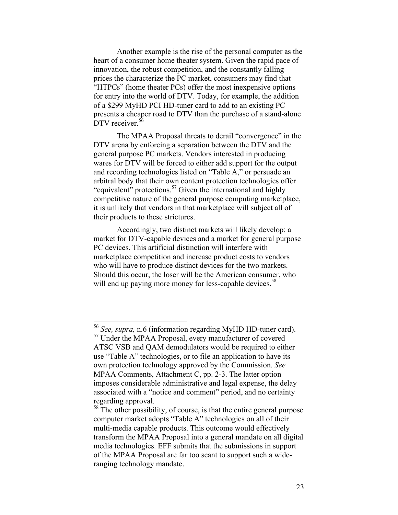Another example is the rise of the personal computer as the heart of a consumer home theater system. Given the rapid pace of innovation, the robust competition, and the constantly falling prices the characterize the PC market, consumers may find that "HTPCs" (home theater PCs) offer the most inexpensive options for entry into the world of DTV. Today, for example, the addition of a \$299 MyHD PCI HD-tuner card to add to an existing PC presents a cheaper road to DTV than the purchase of a stand-alone DTV receiver.<sup>56</sup>

The MPAA Proposal threats to derail "convergence" in the DTV arena by enforcing a separation between the DTV and the general purpose PC markets. Vendors interested in producing wares for DTV will be forced to either add support for the output and recording technologies listed on "Table A," or persuade an arbitral body that their own content protection technologies offer "equivalent" protections.<sup>57</sup> Given the international and highly competitive nature of the general purpose computing marketplace, it is unlikely that vendors in that marketplace will subject all of their products to these strictures.

Accordingly, two distinct markets will likely develop: a market for DTV-capable devices and a market for general purpose PC devices. This artificial distinction will interfere with marketplace competition and increase product costs to vendors who will have to produce distinct devices for the two markets. Should this occur, the loser will be the American consumer, who will end up paying more money for less-capable devices.<sup>58</sup>

 <sup>56</sup> *See, supra,* n.6 (information regarding MyHD HD-tuner card).

<sup>57</sup> Under the MPAA Proposal, every manufacturer of covered ATSC VSB and QAM demodulators would be required to either use "Table A" technologies, or to file an application to have its own protection technology approved by the Commission. *See* MPAA Comments, Attachment C, pp. 2-3. The latter option imposes considerable administrative and legal expense, the delay associated with a "notice and comment" period, and no certainty regarding approval.

<sup>&</sup>lt;sup>58</sup> The other possibility, of course, is that the entire general purpose computer market adopts "Table A" technologies on all of their multi-media capable products. This outcome would effectively transform the MPAA Proposal into a general mandate on all digital media technologies. EFF submits that the submissions in support of the MPAA Proposal are far too scant to support such a wideranging technology mandate.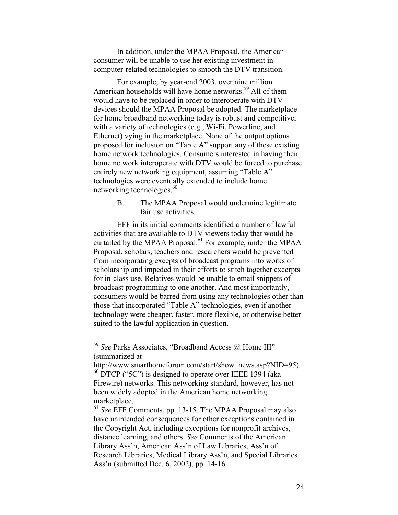In addition, under the MPAA Proposal, the American consumer will be unable to use her existing investment in computer-related technologies to smooth the DTV transition.

For example, by year-end 2003, over nine million American households will have home networks.<sup>59</sup> All of them would have to be replaced in order to interoperate with DTV devices should the MPAA Proposal be adopted. The marketplace for home broadband networking today is robust and competitive, with a variety of technologies (e.g., Wi-Fi, Powerline, and Ethernet) vying in the marketplace. None of the output options proposed for inclusion on "Table A" support any of these existing home network technologies. Consumers interested in having their home network interoperate with DTV would be forced to purchase entirely new networking equipment, assuming "Table A" technologies were eventually extended to include home networking technologies.<sup>60</sup>

> B. The MPAA Proposal would undermine legitimate fair use activities.

EFF in its initial comments identified a number of lawful activities that are available to DTV viewers today that would be curtailed by the MPAA Proposal.<sup>61</sup> For example, under the MPAA Proposal, scholars, teachers and researchers would be prevented from incorporating excepts of broadcast programs into works of scholarship and impeded in their efforts to stitch together excerpts for in-class use. Relatives would be unable to email snippets of broadcast programming to one another. And most importantly, consumers would be barred from using any technologies other than those that incorporated "Table A" technologies, even if another technology were cheaper, faster, more flexible, or otherwise better suited to the lawful application in question.

 <sup>59</sup> *See* Parks Associates, "Broadband Access @ Home III" (summarized at

http://www.smarthomeforum.com/start/show\_news.asp?NID=95).  $^{60}$  DTCP ("5C") is designed to operate over IEEE 1394 (aka Firewire) networks. This networking standard, however, has not been widely adopted in the American home networking marketplace.

<sup>61</sup> *See* EFF Comments, pp. 13-15. The MPAA Proposal may also have unintended consequences for other exceptions contained in the Copyright Act, including exceptions for nonprofit archives, distance learning, and others. *See* Comments of the American Library Ass'n, American Ass'n of Law Libraries, Ass'n of Research Libraries, Medical Library Ass'n, and Special Libraries Ass'n (submitted Dec. 6, 2002), pp. 14-16.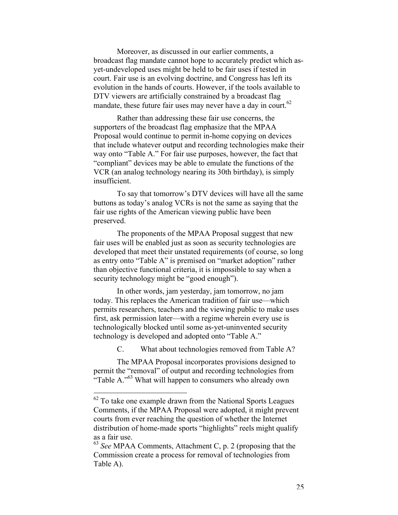Moreover, as discussed in our earlier comments, a broadcast flag mandate cannot hope to accurately predict which asyet-undeveloped uses might be held to be fair uses if tested in court. Fair use is an evolving doctrine, and Congress has left its evolution in the hands of courts. However, if the tools available to DTV viewers are artificially constrained by a broadcast flag mandate, these future fair uses may never have a day in court.<sup>62</sup>

Rather than addressing these fair use concerns, the supporters of the broadcast flag emphasize that the MPAA Proposal would continue to permit in-home copying on devices that include whatever output and recording technologies make their way onto "Table A." For fair use purposes, however, the fact that "compliant" devices may be able to emulate the functions of the VCR (an analog technology nearing its 30th birthday), is simply insufficient.

To say that tomorrow's DTV devices will have all the same buttons as today's analog VCRs is not the same as saying that the fair use rights of the American viewing public have been preserved.

The proponents of the MPAA Proposal suggest that new fair uses will be enabled just as soon as security technologies are developed that meet their unstated requirements (of course, so long as entry onto "Table A" is premised on "market adoption" rather than objective functional criteria, it is impossible to say when a security technology might be "good enough").

In other words, jam yesterday, jam tomorrow, no jam today. This replaces the American tradition of fair use—which permits researchers, teachers and the viewing public to make uses first, ask permission later—with a regime wherein every use is technologically blocked until some as-yet-uninvented security technology is developed and adopted onto "Table A."

C. What about technologies removed from Table A?

The MPAA Proposal incorporates provisions designed to permit the "removal" of output and recording technologies from "Table A." $63$  What will happen to consumers who already own

<sup>&</sup>lt;sup>62</sup> To take one example drawn from the National Sports Leagues Comments, if the MPAA Proposal were adopted, it might prevent courts from ever reaching the question of whether the Internet distribution of home-made sports "highlights" reels might qualify as a fair use.

<sup>63</sup> *See* MPAA Comments, Attachment C, p. 2 (proposing that the Commission create a process for removal of technologies from Table A).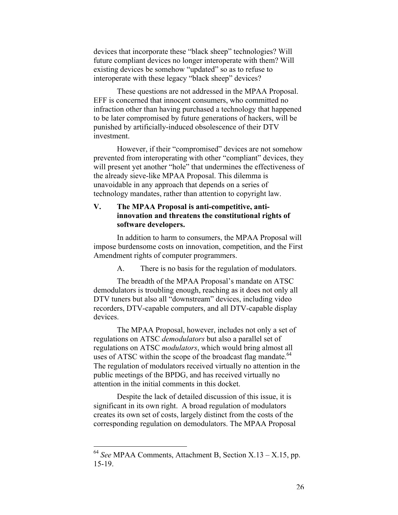devices that incorporate these "black sheep" technologies? Will future compliant devices no longer interoperate with them? Will existing devices be somehow "updated" so as to refuse to interoperate with these legacy "black sheep" devices?

These questions are not addressed in the MPAA Proposal. EFF is concerned that innocent consumers, who committed no infraction other than having purchased a technology that happened to be later compromised by future generations of hackers, will be punished by artificially-induced obsolescence of their DTV investment.

However, if their "compromised" devices are not somehow prevented from interoperating with other "compliant" devices, they will present yet another "hole" that undermines the effectiveness of the already sieve-like MPAA Proposal. This dilemma is unavoidable in any approach that depends on a series of technology mandates, rather than attention to copyright law.

# **V. The MPAA Proposal is anti-competitive, antiinnovation and threatens the constitutional rights of software developers.**

In addition to harm to consumers, the MPAA Proposal will impose burdensome costs on innovation, competition, and the First Amendment rights of computer programmers.

A. There is no basis for the regulation of modulators.

The breadth of the MPAA Proposal's mandate on ATSC demodulators is troubling enough, reaching as it does not only all DTV tuners but also all "downstream" devices, including video recorders, DTV-capable computers, and all DTV-capable display devices.

The MPAA Proposal, however, includes not only a set of regulations on ATSC *demodulators* but also a parallel set of regulations on ATSC *modulators*, which would bring almost all uses of ATSC within the scope of the broadcast flag mandate.<sup>64</sup> The regulation of modulators received virtually no attention in the public meetings of the BPDG, and has received virtually no attention in the initial comments in this docket.

Despite the lack of detailed discussion of this issue, it is significant in its own right. A broad regulation of modulators creates its own set of costs, largely distinct from the costs of the corresponding regulation on demodulators. The MPAA Proposal

 <sup>64</sup> *See* MPAA Comments, Attachment B, Section X.13 – X.15, pp. 15-19.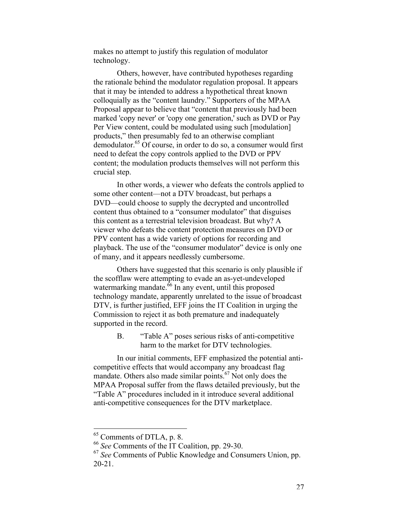makes no attempt to justify this regulation of modulator technology.

Others, however, have contributed hypotheses regarding the rationale behind the modulator regulation proposal. It appears that it may be intended to address a hypothetical threat known colloquially as the "content laundry." Supporters of the MPAA Proposal appear to believe that "content that previously had been marked 'copy never' or 'copy one generation,' such as DVD or Pay Per View content, could be modulated using such [modulation] products," then presumably fed to an otherwise compliant demodulator.<sup>65</sup> Of course, in order to do so, a consumer would first need to defeat the copy controls applied to the DVD or PPV content; the modulation products themselves will not perform this crucial step.

In other words, a viewer who defeats the controls applied to some other content—not a DTV broadcast, but perhaps a DVD—could choose to supply the decrypted and uncontrolled content thus obtained to a "consumer modulator" that disguises this content as a terrestrial television broadcast. But why? A viewer who defeats the content protection measures on DVD or PPV content has a wide variety of options for recording and playback. The use of the "consumer modulator" device is only one of many, and it appears needlessly cumbersome.

Others have suggested that this scenario is only plausible if the scofflaw were attempting to evade an as-yet-undeveloped watermarking mandate.<sup>66</sup> In any event, until this proposed technology mandate, apparently unrelated to the issue of broadcast DTV, is further justified, EFF joins the IT Coalition in urging the Commission to reject it as both premature and inadequately supported in the record.

> B. "Table A" poses serious risks of anti-competitive harm to the market for DTV technologies.

In our initial comments, EFF emphasized the potential anticompetitive effects that would accompany any broadcast flag mandate. Others also made similar points. $67$  Not only does the MPAA Proposal suffer from the flaws detailed previously, but the "Table A" procedures included in it introduce several additional anti-competitive consequences for the DTV marketplace.

 <sup>65</sup> Comments of DTLA, p. 8.

<sup>66</sup>  *See* Comments of the IT Coalition, pp. 29-30.

<sup>67</sup> *See* Comments of Public Knowledge and Consumers Union, pp. 20-21.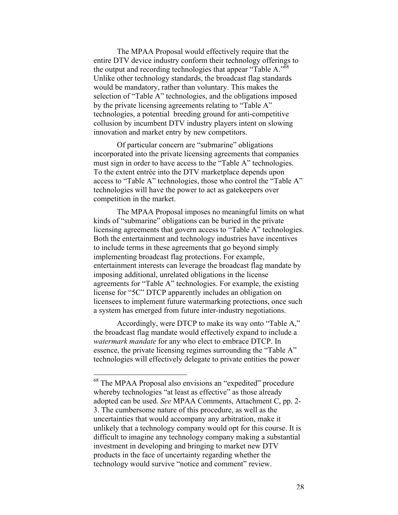The MPAA Proposal would effectively require that the entire DTV device industry conform their technology offerings to the output and recording technologies that appear "Table A."<sup>68</sup> Unlike other technology standards, the broadcast flag standards would be mandatory, rather than voluntary. This makes the selection of "Table A" technologies, and the obligations imposed by the private licensing agreements relating to "Table A" technologies, a potential breeding ground for anti-competitive collusion by incumbent DTV industry players intent on slowing innovation and market entry by new competitors.

Of particular concern are "submarine" obligations incorporated into the private licensing agreements that companies must sign in order to have access to the "Table A" technologies. To the extent entrée into the DTV marketplace depends upon access to "Table A" technologies, those who control the "Table A" technologies will have the power to act as gatekeepers over competition in the market.

The MPAA Proposal imposes no meaningful limits on what kinds of "submarine" obligations can be buried in the private licensing agreements that govern access to "Table A" technologies. Both the entertainment and technology industries have incentives to include terms in these agreements that go beyond simply implementing broadcast flag protections. For example, entertainment interests can leverage the broadcast flag mandate by imposing additional, unrelated obligations in the license agreements for "Table A" technologies. For example, the existing license for "5C" DTCP apparently includes an obligation on licensees to implement future watermarking protections, once such a system has emerged from future inter-industry negotiations.

Accordingly, were DTCP to make its way onto "Table A," the broadcast flag mandate would effectively expand to include a *watermark mandate* for any who elect to embrace DTCP. In essence, the private licensing regimes surrounding the "Table A" technologies will effectively delegate to private entities the power

 <sup>68</sup> The MPAA Proposal also envisions an "expedited" procedure whereby technologies "at least as effective" as those already adopted can be used. *See* MPAA Comments, Attachment C, pp. 2- 3. The cumbersome nature of this procedure, as well as the uncertainties that would accompany any arbitration, make it unlikely that a technology company would opt for this course. It is difficult to imagine any technology company making a substantial investment in developing and bringing to market new DTV products in the face of uncertainty regarding whether the technology would survive "notice and comment" review.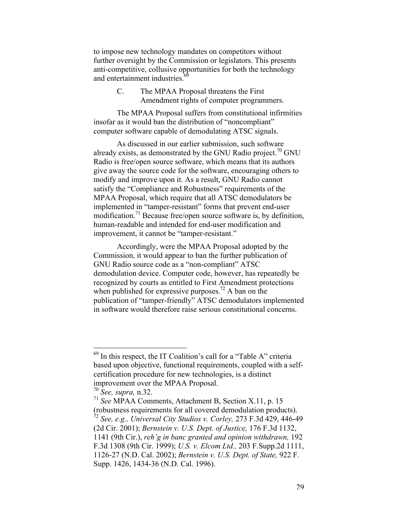to impose new technology mandates on competitors without further oversight by the Commission or legislators. This presents anti-competitive, collusive opportunities for both the technology and entertainment industries.<sup>6</sup>

> C. The MPAA Proposal threatens the First Amendment rights of computer programmers.

The MPAA Proposal suffers from constitutional infirmities insofar as it would ban the distribution of "noncompliant" computer software capable of demodulating ATSC signals.

As discussed in our earlier submission, such software already exists, as demonstrated by the GNU Radio project.<sup>70</sup> GNU Radio is free/open source software, which means that its authors give away the source code for the software, encouraging others to modify and improve upon it. As a result, GNU Radio cannot satisfy the "Compliance and Robustness" requirements of the MPAA Proposal, which require that all ATSC demodulators be implemented in "tamper-resistant" forms that prevent end-user modification.<sup>71</sup> Because free/open source software is, by definition, human-readable and intended for end-user modification and improvement, it cannot be "tamper-resistant."

Accordingly, were the MPAA Proposal adopted by the Commission, it would appear to ban the further publication of GNU Radio source code as a "non-compliant" ATSC demodulation device. Computer code, however, has repeatedly be recognized by courts as entitled to First Amendment protections when published for expressive purposes.<sup>72</sup> A ban on the publication of "tamper-friendly" ATSC demodulators implemented in software would therefore raise serious constitutional concerns.

 <sup>69</sup> In this respect, the IT Coalition's call for a "Table A" criteria based upon objective, functional requirements, coupled with a selfcertification procedure for new technologies, is a distinct improvement over the MPAA Proposal.

<sup>70</sup> *See, supra,* n.32.

<sup>71</sup> *See* MPAA Comments, Attachment B, Section X.11, p. 15 (robustness requirements for all covered demodulation products). <sup>72</sup> *See, e.g., Universal City Studios v. Corley,* 273 F.3d 429, 446-49 (2d Cir. 2001); *Bernstein v. U.S. Dept. of Justice,* 176 F.3d 1132, 1141 (9th Cir.), *reh'g in banc granted and opinion withdrawn,* 192 F.3d 1308 (9th Cir. 1999); *U.S. v. Elcom Ltd.,* 203 F.Supp.2d 1111, 1126-27 (N.D. Cal. 2002); *Bernstein v. U.S. Dept. of State,* 922 F. Supp. 1426, 1434-36 (N.D. Cal. 1996).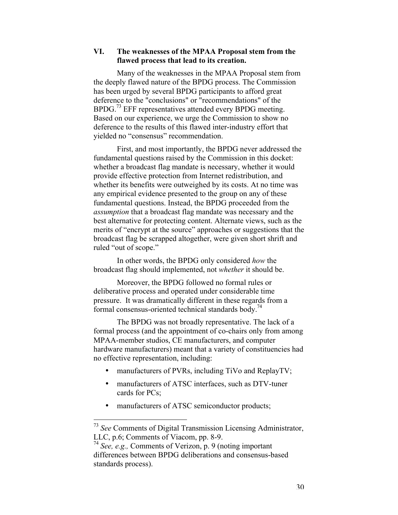# **VI. The weaknesses of the MPAA Proposal stem from the flawed process that lead to its creation.**

Many of the weaknesses in the MPAA Proposal stem from the deeply flawed nature of the BPDG process. The Commission has been urged by several BPDG participants to afford great deference to the "conclusions" or "recommendations" of the BPDG.<sup>73</sup> EFF representatives attended every BPDG meeting. Based on our experience, we urge the Commission to show no deference to the results of this flawed inter-industry effort that yielded no "consensus" recommendation.

First, and most importantly, the BPDG never addressed the fundamental questions raised by the Commission in this docket: whether a broadcast flag mandate is necessary, whether it would provide effective protection from Internet redistribution, and whether its benefits were outweighed by its costs. At no time was any empirical evidence presented to the group on any of these fundamental questions. Instead, the BPDG proceeded from the *assumption* that a broadcast flag mandate was necessary and the best alternative for protecting content. Alternate views, such as the merits of "encrypt at the source" approaches or suggestions that the broadcast flag be scrapped altogether, were given short shrift and ruled "out of scope."

In other words, the BPDG only considered *how* the broadcast flag should implemented, not *whether* it should be.

Moreover, the BPDG followed no formal rules or deliberative process and operated under considerable time pressure. It was dramatically different in these regards from a formal consensus-oriented technical standards body.<sup>74</sup>

The BPDG was not broadly representative. The lack of a formal process (and the appointment of co-chairs only from among MPAA-member studios, CE manufacturers, and computer hardware manufacturers) meant that a variety of constituencies had no effective representation, including:

manufacturers of PVRs, including TiVo and ReplayTV;

manufacturers of ATSC interfaces, such as DTV-tuner cards for PCs;

manufacturers of ATSC semiconductor products;

 <sup>73</sup> *See* Comments of Digital Transmission Licensing Administrator, LLC, p.6; Comments of Viacom, pp. 8-9.

<sup>74</sup> *See, e.g.,* Comments of Verizon, p. 9 (noting important differences between BPDG deliberations and consensus-based standards process).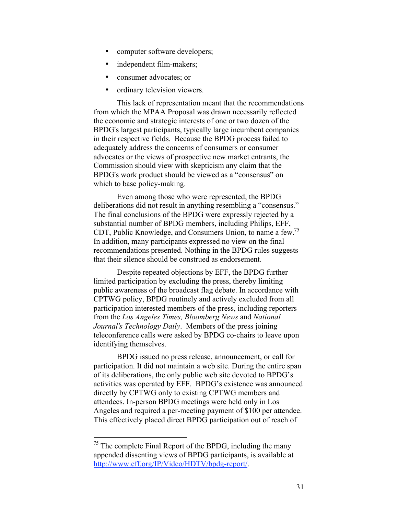computer software developers; independent film-makers; consumer advocates; or ordinary television viewers.

This lack of representation meant that the recommendations from which the MPAA Proposal was drawn necessarily reflected the economic and strategic interests of one or two dozen of the BPDG's largest participants, typically large incumbent companies in their respective fields. Because the BPDG process failed to adequately address the concerns of consumers or consumer advocates or the views of prospective new market entrants, the Commission should view with skepticism any claim that the BPDG's work product should be viewed as a "consensus" on which to base policy-making.

Even among those who were represented, the BPDG deliberations did not result in anything resembling a "consensus." The final conclusions of the BPDG were expressly rejected by a substantial number of BPDG members, including Philips, EFF, CDT, Public Knowledge, and Consumers Union, to name a few.75 In addition, many participants expressed no view on the final recommendations presented. Nothing in the BPDG rules suggests that their silence should be construed as endorsement.

Despite repeated objections by EFF, the BPDG further limited participation by excluding the press, thereby limiting public awareness of the broadcast flag debate. In accordance with CPTWG policy, BPDG routinely and actively excluded from all participation interested members of the press, including reporters from the *Los Angeles Times, Bloomberg News* and *National Journal's Technology Daily*. Members of the press joining teleconference calls were asked by BPDG co-chairs to leave upon identifying themselves.

BPDG issued no press release, announcement, or call for participation. It did not maintain a web site. During the entire span of its deliberations, the only public web site devoted to BPDG's activities was operated by EFF. BPDG's existence was announced directly by CPTWG only to existing CPTWG members and attendees. In-person BPDG meetings were held only in Los Angeles and required a per-meeting payment of \$100 per attendee. This effectively placed direct BPDG participation out of reach of

<sup>&</sup>lt;sup>75</sup> The complete Final Report of the BPDG, including the many appended dissenting views of BPDG participants, is available at http://www.eff.org/IP/Video/HDTV/bpdg-report/.